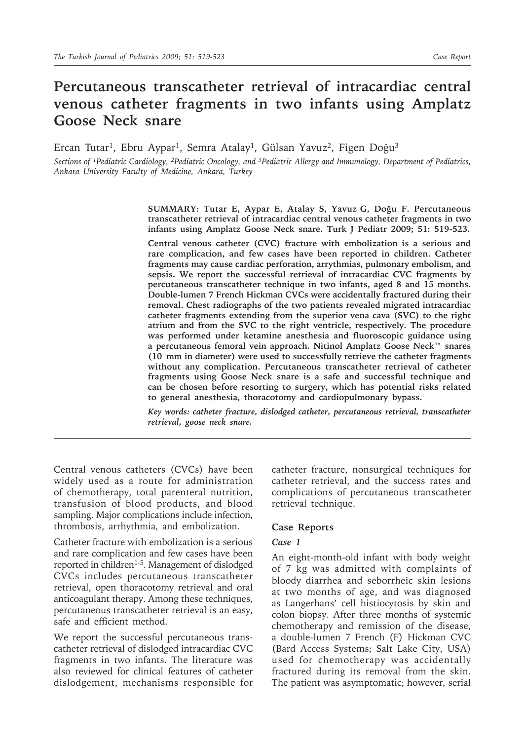# **Percutaneous transcatheter retrieval of intracardiac central venous catheter fragments in two infants using Amplatz Goose Neck snare**

Ercan Tutar<sup>1</sup>, Ebru Aypar<sup>1</sup>, Semra Atalay<sup>1</sup>, Gülsan Yavuz<sup>2</sup>, Figen Doğu<sup>3</sup>

*Sections of 1Pediatric Cardiology, 2Pediatric Oncology, and 3Pediatric Allergy and Immunology, Department of Pediatrics, Ankara University Faculty of Medicine, Ankara, Turkey*

> **SUMMARY: Tutar E, Aypar E, Atalay S, Yavuz G, Doğu F. Percutaneous transcatheter retrieval of intracardiac central venous catheter fragments in two infants using Amplatz Goose Neck snare. Turk J Pediatr 2009; 51: 519-523.**

> **Central venous catheter (CVC) fracture with embolization is a serious and rare complication, and few cases have been reported in children. Catheter fragments may cause cardiac perforation, arrythmias, pulmonary embolism, and sepsis. We report the successful retrieval of intracardiac CVC fragments by percutaneous transcatheter technique in two infants, aged 8 and 15 months. Double-lumen 7 French Hickman CVCs were accidentally fractured during their removal. Chest radiographs of the two patients revealed migrated intracardiac catheter fragments extending from the superior vena cava (SVC) to the right atrium and from the SVC to the right ventricle, respectively. The procedure was performed under ketamine anesthesia and fluoroscopic guidance using a percutaneous femoral vein approach. Nitinol Amplatz Goose Neck™ snares (10 mm in diameter) were used to successfully retrieve the catheter fragments without any complication. Percutaneous transcatheter retrieval of catheter fragments using Goose Neck snare is a safe and successful technique and can be chosen before resorting to surgery, which has potential risks related to general anesthesia, thoracotomy and cardiopulmonary bypass.**

> *Key words: catheter fracture, dislodged catheter, percutaneous retrieval, transcatheter retrieval, goose neck snare.*

Central venous catheters (CVCs) have been widely used as a route for administration of chemotherapy, total parenteral nutrition, transfusion of blood products, and blood sampling. Major complications include infection, thrombosis, arrhythmia, and embolization.

Catheter fracture with embolization is a serious and rare complication and few cases have been reported in children<sup>1-5</sup>. Management of dislodged CVCs includes percutaneous transcatheter retrieval, open thoracotomy retrieval and oral anticoagulant therapy. Among these techniques, percutaneous transcatheter retrieval is an easy, safe and efficient method.

We report the successful percutaneous transcatheter retrieval of dislodged intracardiac CVC fragments in two infants. The literature was also reviewed for clinical features of catheter dislodgement, mechanisms responsible for catheter fracture, nonsurgical techniques for catheter retrieval, and the success rates and complications of percutaneous transcatheter retrieval technique.

### **Case Reports**

#### *Case 1*

An eight-month-old infant with body weight of 7 kg was admitted with complaints of bloody diarrhea and seborrheic skin lesions at two months of age, and was diagnosed as Langerhans' cell histiocytosis by skin and colon biopsy. After three months of systemic chemotherapy and remission of the disease, a double-lumen 7 French (F) Hickman CVC (Bard Access Systems; Salt Lake City, USA) used for chemotherapy was accidentally fractured during its removal from the skin. The patient was asymptomatic; however, serial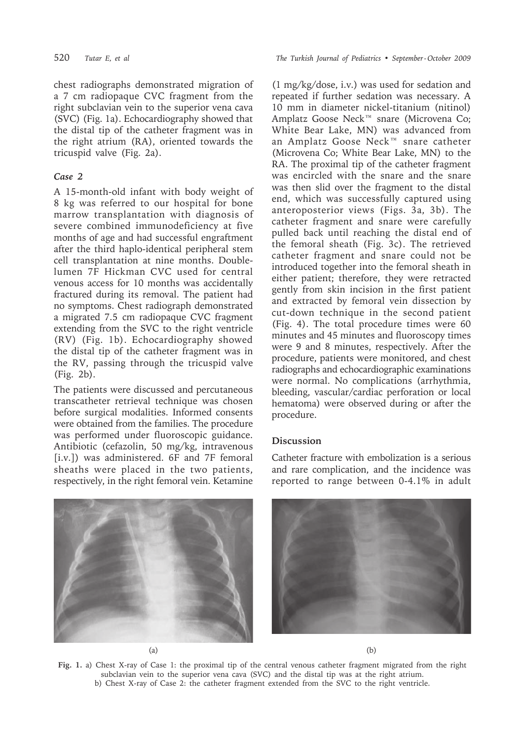chest radiographs demonstrated migration of a 7 cm radiopaque CVC fragment from the right subclavian vein to the superior vena cava (SVC) (Fig. 1a). Echocardiography showed that the distal tip of the catheter fragment was in the right atrium (RA), oriented towards the tricuspid valve (Fig. 2a).

# *Case 2*

A 15-month-old infant with body weight of 8 kg was referred to our hospital for bone marrow transplantation with diagnosis of severe combined immunodeficiency at five months of age and had successful engraftment after the third haplo-identical peripheral stem cell transplantation at nine months. Doublelumen 7F Hickman CVC used for central venous access for 10 months was accidentally fractured during its removal. The patient had no symptoms. Chest radiograph demonstrated a migrated 7.5 cm radiopaque CVC fragment extending from the SVC to the right ventricle (RV) (Fig. 1b). Echocardiography showed the distal tip of the catheter fragment was in the RV, passing through the tricuspid valve (Fig. 2b).

The patients were discussed and percutaneous transcatheter retrieval technique was chosen before surgical modalities. Informed consents were obtained from the families. The procedure was performed under fluoroscopic guidance. Antibiotic (cefazolin, 50 mg/kg, intravenous [i.v.]) was administered. 6F and 7F femoral sheaths were placed in the two patients, respectively, in the right femoral vein. Ketamine

520 *Tutar E, et al The Turkish Journal of Pediatrics • September - October 2009*

(1 mg/kg/dose, i.v.) was used for sedation and repeated if further sedation was necessary. A 10 mm in diameter nickel-titanium (nitinol) Amplatz Goose Neck™ snare (Microvena Co; White Bear Lake, MN) was advanced from an Amplatz Goose Neck™ snare catheter (Microvena Co; White Bear Lake, MN) to the RA. The proximal tip of the catheter fragment was encircled with the snare and the snare was then slid over the fragment to the distal end, which was successfully captured using anteroposterior views (Figs. 3a, 3b). The catheter fragment and snare were carefully pulled back until reaching the distal end of the femoral sheath (Fig. 3c). The retrieved catheter fragment and snare could not be introduced together into the femoral sheath in either patient; therefore, they were retracted gently from skin incision in the first patient and extracted by femoral vein dissection by cut-down technique in the second patient (Fig. 4). The total procedure times were 60 minutes and 45 minutes and fluoroscopy times were 9 and 8 minutes, respectively. After the procedure, patients were monitored, and chest radiographs and echocardiographic examinations were normal. No complications (arrhythmia, bleeding, vascular/cardiac perforation or local hematoma) were observed during or after the procedure.

## **Discussion**

Catheter fracture with embolization is a serious and rare complication, and the incidence was reported to range between 0-4.1% in adult



**Fig. 1.** a) Chest X-ray of Case 1: the proximal tip of the central venous catheter fragment migrated from the right subclavian vein to the superior vena cava (SVC) and the distal tip was at the right atrium. b) Chest X-ray of Case 2: the catheter fragment extended from the SVC to the right ventricle.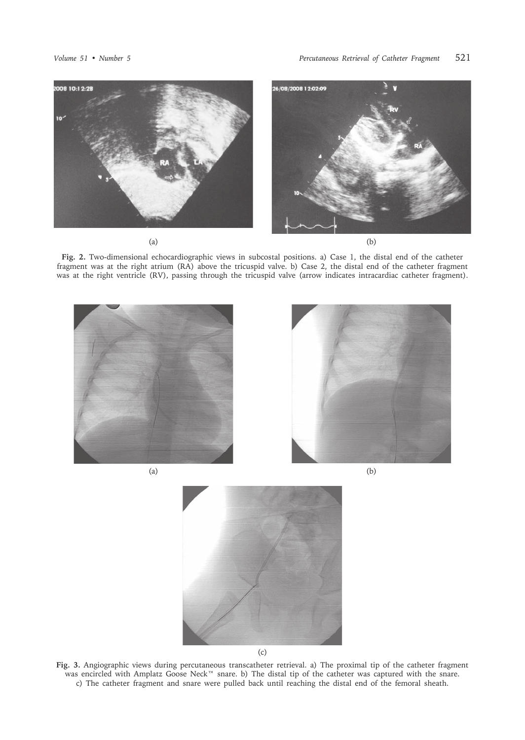

**Fig. 2.** Two-dimensional echocardiographic views in subcostal positions. a) Case 1, the distal end of the catheter fragment was at the right atrium (RA) above the tricuspid valve. b) Case 2, the distal end of the catheter fragment was at the right ventricle (RV), passing through the tricuspid valve (arrow indicates intracardiac catheter fragment).





**Fig. 3.** Angiographic views during percutaneous transcatheter retrieval. a) The proximal tip of the catheter fragment was encircled with Amplatz Goose Neck™ snare. b) The distal tip of the catheter was captured with the snare. c) The catheter fragment and snare were pulled back until reaching the distal end of the femoral sheath.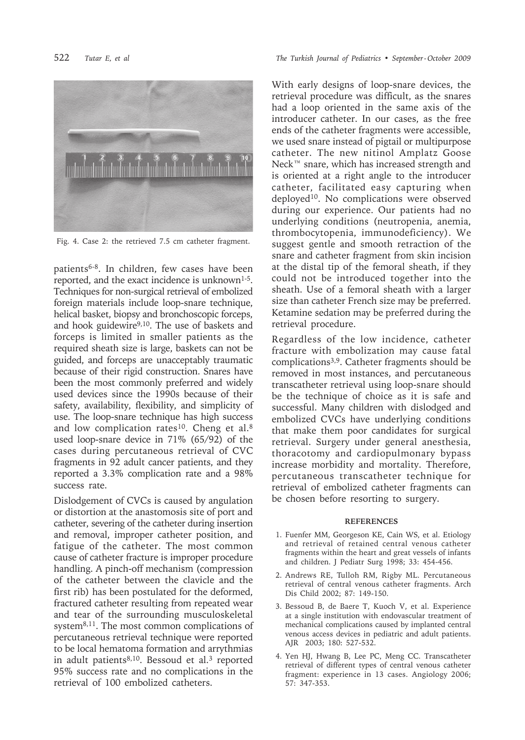

Fig. 4. Case 2: the retrieved 7.5 cm catheter fragment.

patients6-8. In children, few cases have been reported, and the exact incidence is unknown<sup>1-5</sup>. Techniques for non-surgical retrieval of embolized foreign materials include loop-snare technique, helical basket, biopsy and bronchoscopic forceps, and hook guidewire<sup>9,10</sup>. The use of baskets and forceps is limited in smaller patients as the required sheath size is large, baskets can not be guided, and forceps are unacceptably traumatic because of their rigid construction. Snares have been the most commonly preferred and widely used devices since the 1990s because of their safety, availability, flexibility, and simplicity of use. The loop-snare technique has high success and low complication rates<sup>10</sup>. Cheng et al.<sup>8</sup> used loop-snare device in 71% (65/92) of the cases during percutaneous retrieval of CVC fragments in 92 adult cancer patients, and they reported a 3.3% complication rate and a 98% success rate.

Dislodgement of CVCs is caused by angulation or distortion at the anastomosis site of port and catheter, severing of the catheter during insertion and removal, improper catheter position, and fatigue of the catheter. The most common cause of catheter fracture is improper procedure handling. A pinch-off mechanism (compression of the catheter between the clavicle and the first rib) has been postulated for the deformed, fractured catheter resulting from repeated wear and tear of the surrounding musculoskeletal system<sup>8,11</sup>. The most common complications of percutaneous retrieval technique were reported to be local hematoma formation and arrythmias in adult patients $8,10$ . Bessoud et al.<sup>3</sup> reported 95% success rate and no complications in the retrieval of 100 embolized catheters.

522 *Tutar E, et al The Turkish Journal of Pediatrics • September - October 2009*

With early designs of loop-snare devices, the retrieval procedure was difficult, as the snares had a loop oriented in the same axis of the introducer catheter. In our cases, as the free ends of the catheter fragments were accessible, we used snare instead of pigtail or multipurpose catheter. The new nitinol Amplatz Goose Neck™ snare, which has increased strength and is oriented at a right angle to the introducer catheter, facilitated easy capturing when deployed<sup>10</sup>. No complications were observed during our experience. Our patients had no underlying conditions (neutropenia, anemia, thrombocytopenia, immunodeficiency). We suggest gentle and smooth retraction of the snare and catheter fragment from skin incision at the distal tip of the femoral sheath, if they could not be introduced together into the sheath. Use of a femoral sheath with a larger size than catheter French size may be preferred. Ketamine sedation may be preferred during the retrieval procedure.

Regardless of the low incidence, catheter fracture with embolization may cause fatal complications3,9. Catheter fragments should be removed in most instances, and percutaneous transcatheter retrieval using loop-snare should be the technique of choice as it is safe and successful. Many children with dislodged and embolized CVCs have underlying conditions that make them poor candidates for surgical retrieval. Surgery under general anesthesia, thoracotomy and cardiopulmonary bypass increase morbidity and mortality. Therefore, percutaneous transcatheter technique for retrieval of embolized catheter fragments can be chosen before resorting to surgery.

#### **REFERENCES**

- 1. Fuenfer MM, Georgeson KE, Cain WS, et al. Etiology and retrieval of retained central venous catheter fragments within the heart and great vessels of infants and children. J Pediatr Surg 1998; 33: 454-456.
- 2. Andrews RE, Tulloh RM, Rigby ML. Percutaneous retrieval of central venous catheter fragments. Arch Dis Child 2002; 87: 149-150.
- 3. Bessoud B, de Baere T, Kuoch V, et al. Experience at a single institution with endovascular treatment of mechanical complications caused by implanted central venous access devices in pediatric and adult patients. AJR 2003; 180: 527-532.
- 4. Yen HJ, Hwang B, Lee PC, Meng CC. Transcatheter retrieval of different types of central venous catheter fragment: experience in 13 cases. Angiology 2006; 57: 347-353.